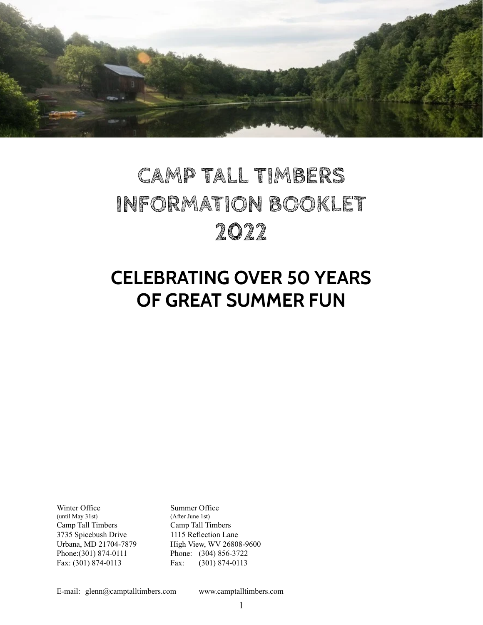

# **CAMP TALL TIMBERS INFORMATION BOOKLET 2022**

# **CELEBRATING OVER 50 YEARS OF GREAT SUMMER FUN**

Winter Office<br>
(until May 31st)<br>
(After June 1st)  $($ until May 31st) Camp Tall Timbers Camp Tall Timbers 3735 Spicebush Drive 1115 Reflection Lane Phone:(301) 874-0111 Phone: (304) 856-3722

Urbana, MD 21704-7879 High View, WV 26808-9600 Fax: (301) 874-0113 Fax: (301) 874-0113

E-mail: glenn@camptalltimbers.com www.camptalltimbers.com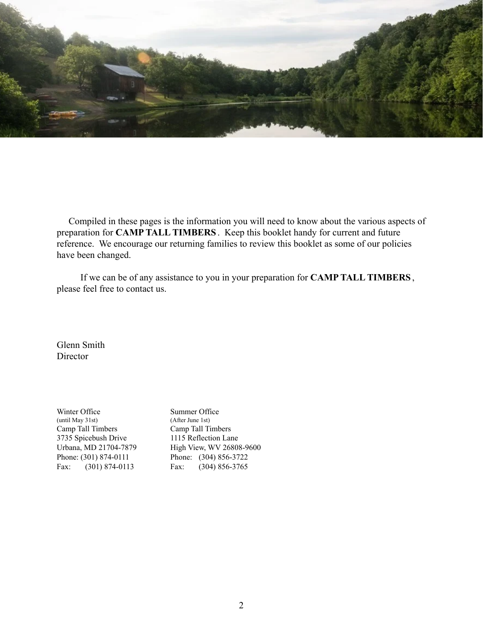

Compiled in these pages is the information you will need to know about the various aspects of preparation for **CAMP TALL TIMBERS** . Keep this booklet handy for current and future reference. We encourage our returning families to review this booklet as some of our policies have been changed.

If we can be of any assistance to you in your preparation for **CAMP TALL TIMBERS** , please feel free to contact us.

Glenn Smith **Director** 

Winter Office Summer Office<br>
(until May 31st) (After June 1st)  $($ until May 31st) Camp Tall Timbers Camp Tall Timbers 3735 Spicebush Drive 1115 Reflection Lane Phone: (301) 874-0111 Phone: (304) 856-3722

Urbana, MD 21704-7879 High View, WV 26808-9600 Fax: (301) 874-0113 Fax: (304) 856-3765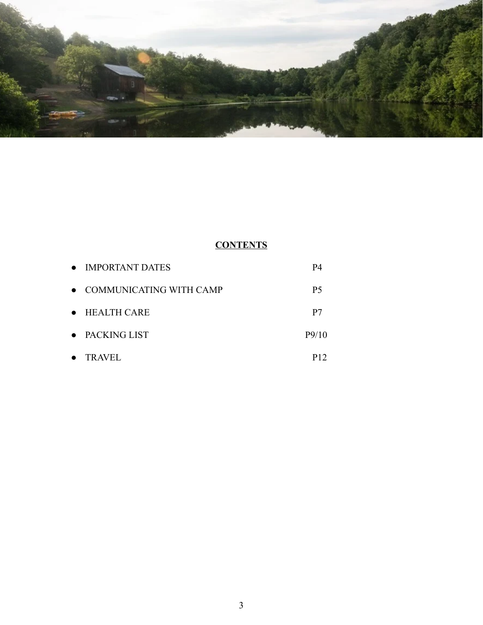

# **CONTENTS**

|           | • IMPORTANT DATES         | Р4             |
|-----------|---------------------------|----------------|
|           | • COMMUNICATING WITH CAMP | P <sub>5</sub> |
|           | • HEALTH CARE             | P7             |
|           | • PACKING LIST            | P9/10          |
| $\bullet$ | <b>TRAVEL</b>             | P12            |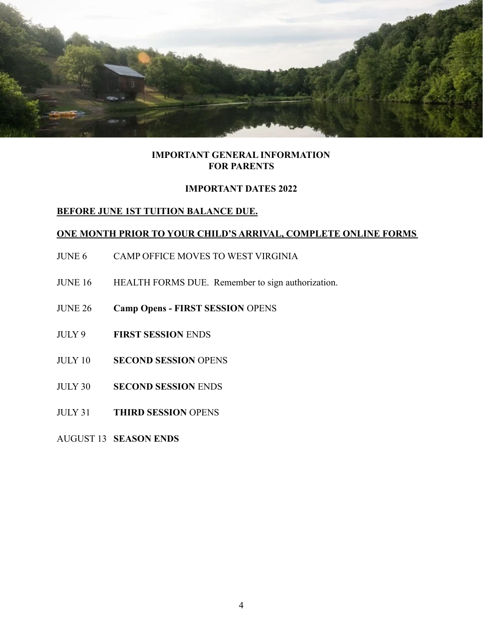

## **IMPORTANT GENERAL INFORMATION FOR PARENTS**

## **IMPORTANT DATES 2022**

# **BEFORE JUNE 1ST TUITION BALANCE DUE.**

## **ONE MONTH PRIOR TO YOUR CHILD'S ARRIVAL, COMPLETE ONLINE FORMS**

- JUNE 6 CAMP OFFICE MOVES TO WEST VIRGINIA
- JUNE 16 HEALTH FORMS DUE. Remember to sign authorization.
- JUNE 26 **Camp Opens FIRST SESSION** OPENS
- JULY 9 **FIRST SESSION** ENDS
- JULY 10 **SECOND SESSION** OPENS
- JULY 30 **SECOND SESSION** ENDS
- JULY 31 **THIRD SESSION** OPENS

AUGUST 13 **SEASON ENDS**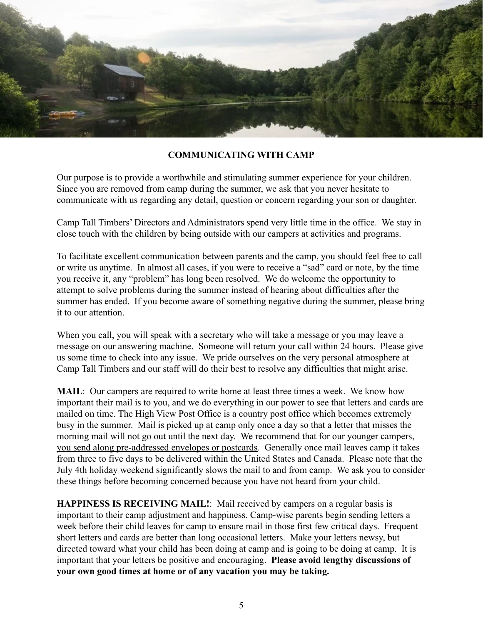

#### **COMMUNICATING WITH CAMP**

Our purpose is to provide a worthwhile and stimulating summer experience for your children. Since you are removed from camp during the summer, we ask that you never hesitate to communicate with us regarding any detail, question or concern regarding your son or daughter.

Camp Tall Timbers' Directors and Administrators spend very little time in the office. We stay in close touch with the children by being outside with our campers at activities and programs.

To facilitate excellent communication between parents and the camp, you should feel free to call or write us anytime. In almost all cases, if you were to receive a "sad" card or note, by the time you receive it, any "problem" has long been resolved. We do welcome the opportunity to attempt to solve problems during the summer instead of hearing about difficulties after the summer has ended. If you become aware of something negative during the summer, please bring it to our attention.

When you call, you will speak with a secretary who will take a message or you may leave a message on our answering machine. Someone will return your call within 24 hours. Please give us some time to check into any issue. We pride ourselves on the very personal atmosphere at Camp Tall Timbers and our staff will do their best to resolve any difficulties that might arise.

**MAIL**: Our campers are required to write home at least three times a week. We know how important their mail is to you, and we do everything in our power to see that letters and cards are mailed on time. The High View Post Office is a country post office which becomes extremely busy in the summer. Mail is picked up at camp only once a day so that a letter that misses the morning mail will not go out until the next day. We recommend that for our younger campers, you send along pre-addressed envelopes or postcards. Generally once mail leaves camp it takes from three to five days to be delivered within the United States and Canada. Please note that the July 4th holiday weekend significantly slows the mail to and from camp. We ask you to consider these things before becoming concerned because you have not heard from your child.

**HAPPINESS IS RECEIVING MAIL!**: Mail received by campers on a regular basis is important to their camp adjustment and happiness. Camp-wise parents begin sending letters a week before their child leaves for camp to ensure mail in those first few critical days. Frequent short letters and cards are better than long occasional letters. Make your letters newsy, but directed toward what your child has been doing at camp and is going to be doing at camp. It is important that your letters be positive and encouraging. **Please avoid lengthy discussions of your own good times at home or of any vacation you may be taking.**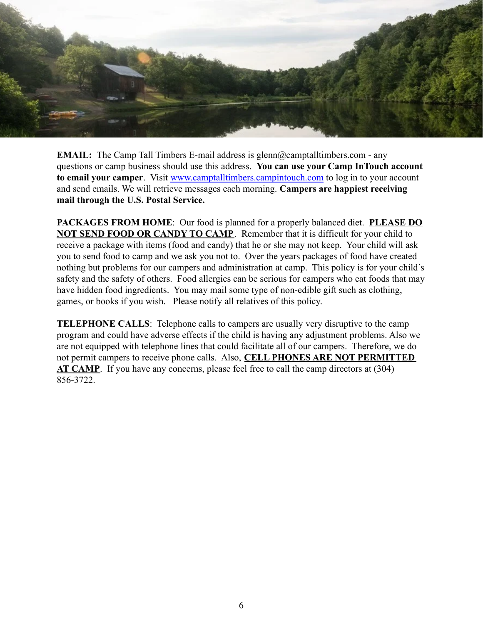

**EMAIL:** The Camp Tall Timbers E-mail address is glenn@camptalltimbers.com - any questions or camp business should use this address. **You can use your Camp InTouch account to email your camper**. Visit [www.camptalltimbers.campintouch.com](http://www.camptalltimbers.campintouch.com) to log in to your account and send emails. We will retrieve messages each morning. **Campers are happiest receiving mail through the U.S. Postal Service.**

**PACKAGES FROM HOME**: Our food is planned for a properly balanced diet. **PLEASE DO NOT SEND FOOD OR CANDY TO CAMP**. Remember that it is difficult for your child to receive a package with items (food and candy) that he or she may not keep. Your child will ask you to send food to camp and we ask you not to. Over the years packages of food have created nothing but problems for our campers and administration at camp. This policy is for your child's safety and the safety of others. Food allergies can be serious for campers who eat foods that may have hidden food ingredients. You may mail some type of non-edible gift such as clothing, games, or books if you wish. Please notify all relatives of this policy.

**TELEPHONE CALLS**: Telephone calls to campers are usually very disruptive to the camp program and could have adverse effects if the child is having any adjustment problems. Also we are not equipped with telephone lines that could facilitate all of our campers. Therefore, we do not permit campers to receive phone calls. Also, **CELL PHONES ARE NOT PERMITTED AT CAMP**. If you have any concerns, please feel free to call the camp directors at (304) 856-3722.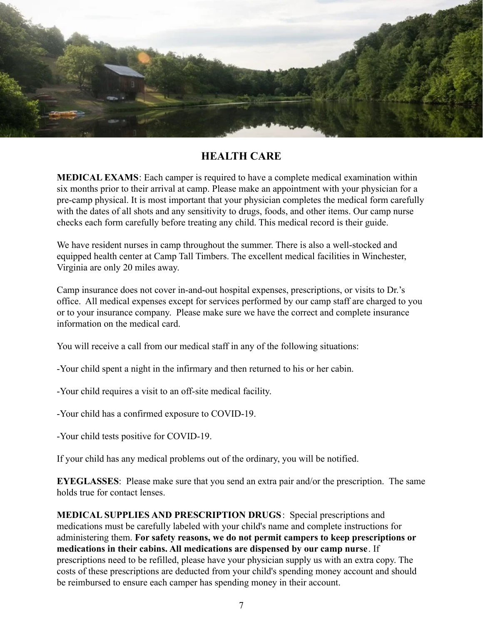

# **HEALTH CARE**

**MEDICAL EXAMS**: Each camper is required to have a complete medical examination within six months prior to their arrival at camp. Please make an appointment with your physician for a pre-camp physical. It is most important that your physician completes the medical form carefully with the dates of all shots and any sensitivity to drugs, foods, and other items. Our camp nurse checks each form carefully before treating any child. This medical record is their guide.

We have resident nurses in camp throughout the summer. There is also a well-stocked and equipped health center at Camp Tall Timbers. The excellent medical facilities in Winchester, Virginia are only 20 miles away.

Camp insurance does not cover in-and-out hospital expenses, prescriptions, or visits to Dr.'s office. All medical expenses except for services performed by our camp staff are charged to you or to your insurance company. Please make sure we have the correct and complete insurance information on the medical card.

You will receive a call from our medical staff in any of the following situations:

-Your child spent a night in the infirmary and then returned to his or her cabin.

-Your child requires a visit to an off-site medical facility.

-Your child has a confirmed exposure to COVID-19.

-Your child tests positive for COVID-19.

If your child has any medical problems out of the ordinary, you will be notified.

**EYEGLASSES**: Please make sure that you send an extra pair and/or the prescription. The same holds true for contact lenses.

**MEDICAL SUPPLIES AND PRESCRIPTION DRUGS**: Special prescriptions and medications must be carefully labeled with your child's name and complete instructions for administering them. **For safety reasons, we do not permit campers to keep prescriptions or medications in their cabins. All medications are dispensed by our camp nurse**. If prescriptions need to be refilled, please have your physician supply us with an extra copy. The costs of these prescriptions are deducted from your child's spending money account and should be reimbursed to ensure each camper has spending money in their account.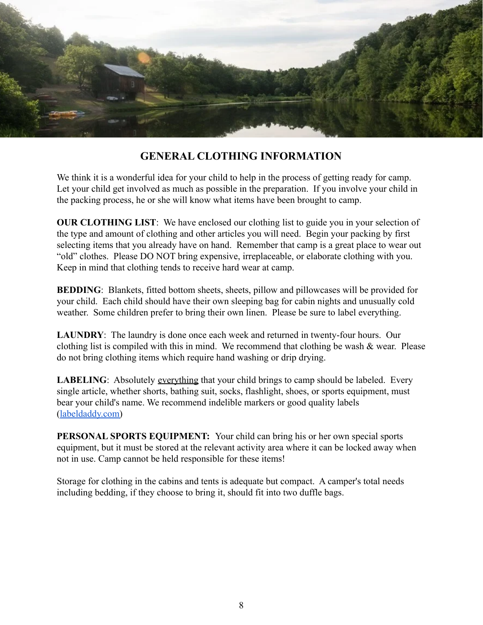

# **GENERAL CLOTHING INFORMATION**

We think it is a wonderful idea for your child to help in the process of getting ready for camp. Let your child get involved as much as possible in the preparation. If you involve your child in the packing process, he or she will know what items have been brought to camp.

**OUR CLOTHING LIST:** We have enclosed our clothing list to guide you in your selection of the type and amount of clothing and other articles you will need. Begin your packing by first selecting items that you already have on hand. Remember that camp is a great place to wear out "old" clothes. Please DO NOT bring expensive, irreplaceable, or elaborate clothing with you. Keep in mind that clothing tends to receive hard wear at camp.

**BEDDING**: Blankets, fitted bottom sheets, sheets, pillow and pillowcases will be provided for your child. Each child should have their own sleeping bag for cabin nights and unusually cold weather. Some children prefer to bring their own linen. Please be sure to label everything.

**LAUNDRY**: The laundry is done once each week and returned in twenty-four hours. Our clothing list is compiled with this in mind. We recommend that clothing be wash  $\&$  wear. Please do not bring clothing items which require hand washing or drip drying.

**LABELING**: Absolutely everything that your child brings to camp should be labeled. Every single article, whether shorts, bathing suit, socks, flashlight, shoes, or sports equipment, must bear your child's name. We recommend indelible markers or good quality labels ([labeldaddy.com\)](https://www.labeldaddy.com/)

**PERSONAL SPORTS EQUIPMENT:** Your child can bring his or her own special sports equipment, but it must be stored at the relevant activity area where it can be locked away when not in use. Camp cannot be held responsible for these items!

Storage for clothing in the cabins and tents is adequate but compact. A camper's total needs including bedding, if they choose to bring it, should fit into two duffle bags.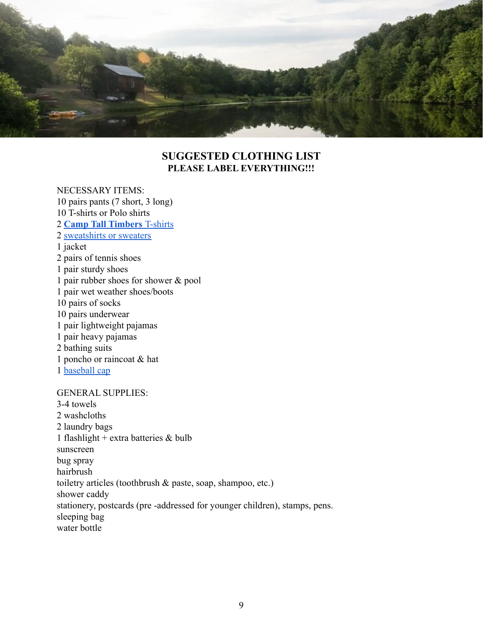

# **SUGGESTED CLOTHING LIST PLEASE LABEL EVERYTHING!!!**

#### NECESSARY ITEMS:

10 pairs pants (7 short, 3 long) 10 T-shirts or Polo shirts 2 **[Camp Tall Timbers](https://camp-tall-timbers-swag-store.myshopify.com/collections/shirts)** T-shirts 2 [sweatshirts or sweaters](https://camp-tall-timbers-swag-store.myshopify.com/collections/sweatshirts) 1 jacket 2 pairs of tennis shoes 1 pair sturdy shoes 1 pair rubber shoes for shower & pool 1 pair wet weather shoes/boots 10 pairs of socks 10 pairs underwear 1 pair lightweight pajamas 1 pair heavy pajamas 2 bathing suits 1 poncho or raincoat & hat 1 [baseball cap](https://camp-tall-timbers-swag-store.myshopify.com/collections/hats) GENERAL SUPPLIES: 3-4 towels 2 washcloths 2 laundry bags 1 flashlight + extra batteries  $&$  bulb sunscreen bug spray hairbrush toiletry articles (toothbrush & paste, soap, shampoo, etc.) shower caddy stationery, postcards (pre -addressed for younger children), stamps, pens. sleeping bag water bottle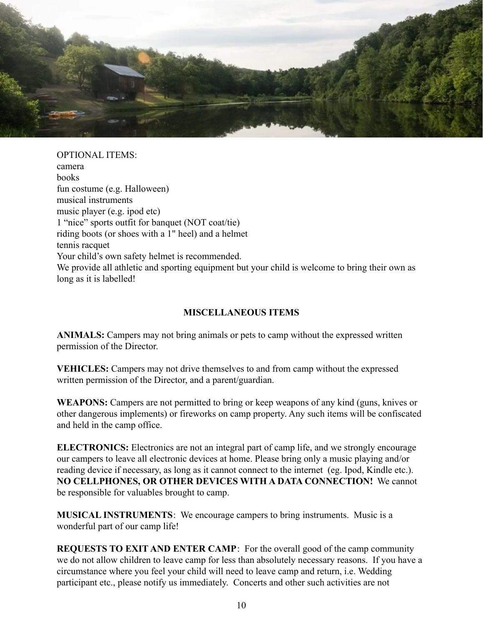

OPTIONAL ITEMS: camera books fun costume (e.g. Halloween) musical instruments music player (e.g. ipod etc) 1 "nice" sports outfit for banquet (NOT coat/tie) riding boots (or shoes with a 1" heel) and a helmet tennis racquet Your child's own safety helmet is recommended. We provide all athletic and sporting equipment but your child is welcome to bring their own as long as it is labelled!

# **MISCELLANEOUS ITEMS**

**ANIMALS:** Campers may not bring animals or pets to camp without the expressed written permission of the Director.

**VEHICLES:** Campers may not drive themselves to and from camp without the expressed written permission of the Director, and a parent/guardian.

**WEAPONS:** Campers are not permitted to bring or keep weapons of any kind (guns, knives or other dangerous implements) or fireworks on camp property. Any such items will be confiscated and held in the camp office.

**ELECTRONICS:** Electronics are not an integral part of camp life, and we strongly encourage our campers to leave all electronic devices at home. Please bring only a music playing and/or reading device if necessary, as long as it cannot connect to the internet (eg. Ipod, Kindle etc.). **NO CELLPHONES, OR OTHER DEVICES WITH A DATA CONNECTION!** We cannot be responsible for valuables brought to camp.

**MUSICAL INSTRUMENTS**: We encourage campers to bring instruments. Music is a wonderful part of our camp life!

**REQUESTS TO EXIT AND ENTER CAMP**: For the overall good of the camp community we do not allow children to leave camp for less than absolutely necessary reasons. If you have a circumstance where you feel your child will need to leave camp and return, i.e. Wedding participant etc., please notify us immediately. Concerts and other such activities are not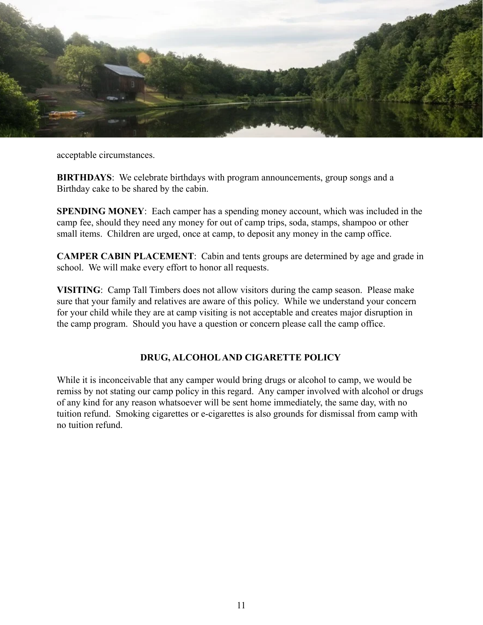

acceptable circumstances.

**BIRTHDAYS:** We celebrate birthdays with program announcements, group songs and a Birthday cake to be shared by the cabin.

**SPENDING MONEY**: Each camper has a spending money account, which was included in the camp fee, should they need any money for out of camp trips, soda, stamps, shampoo or other small items. Children are urged, once at camp, to deposit any money in the camp office.

**CAMPER CABIN PLACEMENT**: Cabin and tents groups are determined by age and grade in school. We will make every effort to honor all requests.

**VISITING**: Camp Tall Timbers does not allow visitors during the camp season. Please make sure that your family and relatives are aware of this policy. While we understand your concern for your child while they are at camp visiting is not acceptable and creates major disruption in the camp program. Should you have a question or concern please call the camp office.

# **DRUG, ALCOHOL AND CIGARETTE POLICY**

While it is inconceivable that any camper would bring drugs or alcohol to camp, we would be remiss by not stating our camp policy in this regard. Any camper involved with alcohol or drugs of any kind for any reason whatsoever will be sent home immediately, the same day, with no tuition refund. Smoking cigarettes or e-cigarettes is also grounds for dismissal from camp with no tuition refund.